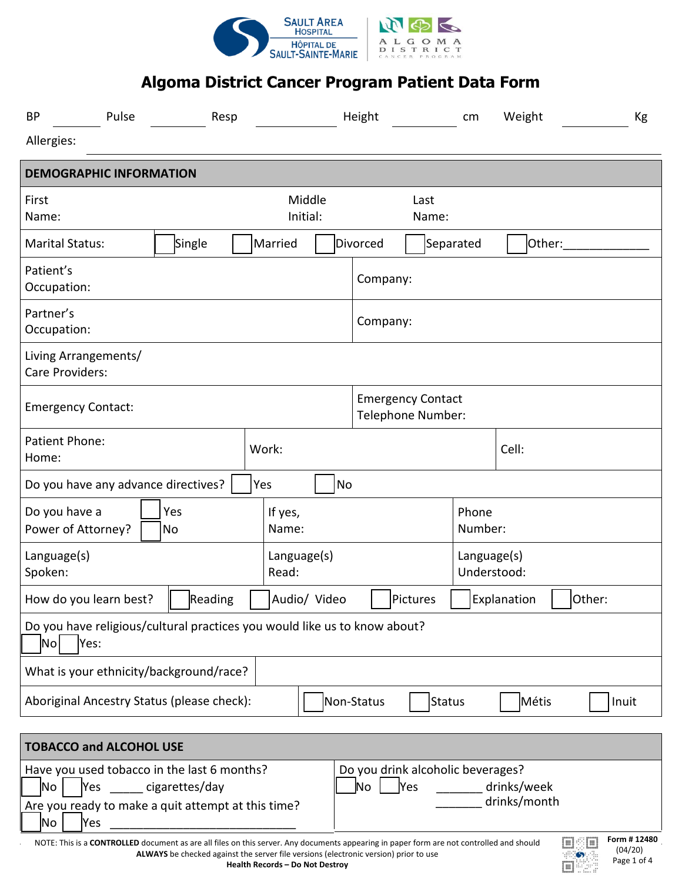

| <b>BP</b>                                                                                                                                    | Pulse | Resp      |                          | Height             |                                               | Weight<br>cm               |           |        | Кg |       |
|----------------------------------------------------------------------------------------------------------------------------------------------|-------|-----------|--------------------------|--------------------|-----------------------------------------------|----------------------------|-----------|--------|----|-------|
| Allergies:                                                                                                                                   |       |           |                          |                    |                                               |                            |           |        |    |       |
| <b>DEMOGRAPHIC INFORMATION</b>                                                                                                               |       |           |                          |                    |                                               |                            |           |        |    |       |
| First<br>Name:                                                                                                                               |       |           |                          | Middle<br>Initial: |                                               | Last<br>Name:              |           |        |    |       |
| <b>Marital Status:</b>                                                                                                                       |       | Single    | Married                  |                    | Divorced                                      |                            | Separated | Other: |    |       |
| Patient's<br>Occupation:                                                                                                                     |       |           |                          |                    | Company:                                      |                            |           |        |    |       |
| Partner's<br>Occupation:                                                                                                                     |       |           |                          |                    | Company:                                      |                            |           |        |    |       |
| Living Arrangements/<br>Care Providers:                                                                                                      |       |           |                          |                    |                                               |                            |           |        |    |       |
| <b>Emergency Contact:</b>                                                                                                                    |       |           |                          |                    | <b>Emergency Contact</b><br>Telephone Number: |                            |           |        |    |       |
| Patient Phone:<br>Home:                                                                                                                      |       |           | Work:                    |                    |                                               | Cell:                      |           |        |    |       |
| Do you have any advance directives?                                                                                                          |       |           | Yes                      | No                 |                                               |                            |           |        |    |       |
| Do you have a<br>Power of Attorney?                                                                                                          |       | Yes<br>No | If yes,<br>Name:         |                    |                                               | Phone<br>Number:           |           |        |    |       |
| Language(s)<br>Spoken:                                                                                                                       |       |           | Language(s)<br>Read:     |                    |                                               | Language(s)<br>Understood: |           |        |    |       |
| How do you learn best?                                                                                                                       |       | Reading   | Audio/ Video<br>Pictures |                    |                                               | Explanation<br>Other:      |           |        |    |       |
| Do you have religious/cultural practices you would like us to know about?<br>$\vert$ No $\vert$<br>Yes:                                      |       |           |                          |                    |                                               |                            |           |        |    |       |
| What is your ethnicity/background/race?                                                                                                      |       |           |                          |                    |                                               |                            |           |        |    |       |
| Aboriginal Ancestry Status (please check):                                                                                                   |       |           |                          |                    | Non-Status                                    | <b>Status</b>              |           | Métis  |    | Inuit |
| <b>TOBACCO and ALCOHOL USE</b>                                                                                                               |       |           |                          |                    |                                               |                            |           |        |    |       |
| Do you drink alcoholic beverages?<br>Have you used tobacco in the last 6 months?<br>No<br>Yes<br>drinks/week<br> Yes<br>cigarettes/day<br>No |       |           |                          |                    |                                               |                            |           |        |    |       |

| Are you ready to make a quit attempt at this time?                                                                                              | drinks/mo |
|-------------------------------------------------------------------------------------------------------------------------------------------------|-----------|
| <b>No</b><br>lYes                                                                                                                               |           |
| NOTE: This is a <b>CONTROLLED</b> document as are all files on this server. Any documents appearing in paper form are not controlled and should |           |
| ALWAYS be checked against the server file versions (electronic version) prior to use                                                            |           |



 $\overline{\phantom{a}}$  drinks/month

**Form # 12480** (04/20) Page 1 of 4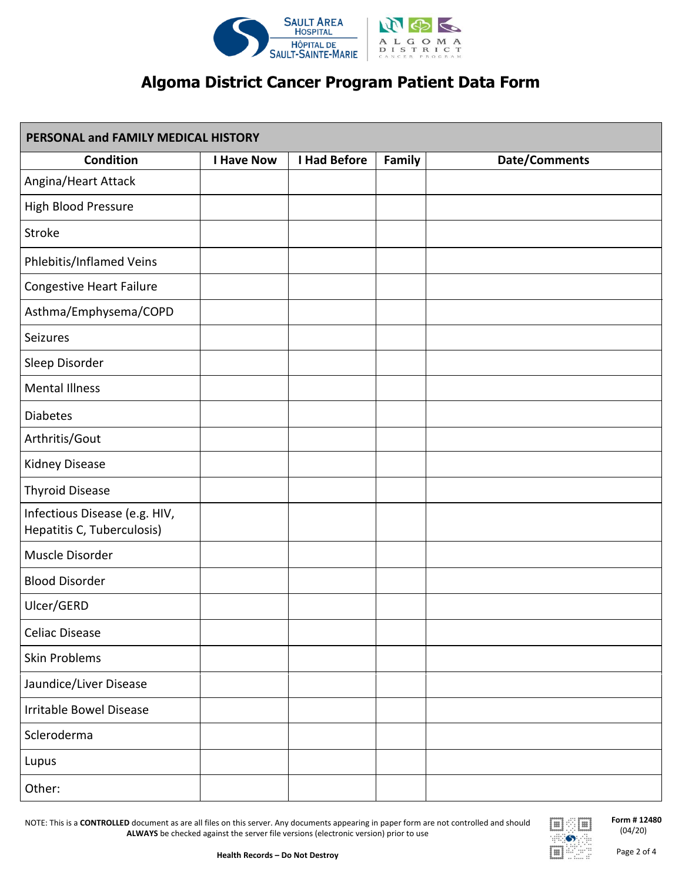

| PERSONAL and FAMILY MEDICAL HISTORY                         |                   |                     |        |                      |  |  |  |  |
|-------------------------------------------------------------|-------------------|---------------------|--------|----------------------|--|--|--|--|
| Condition                                                   | <b>I Have Now</b> | <b>I Had Before</b> | Family | <b>Date/Comments</b> |  |  |  |  |
| Angina/Heart Attack                                         |                   |                     |        |                      |  |  |  |  |
| High Blood Pressure                                         |                   |                     |        |                      |  |  |  |  |
| Stroke                                                      |                   |                     |        |                      |  |  |  |  |
| Phlebitis/Inflamed Veins                                    |                   |                     |        |                      |  |  |  |  |
| <b>Congestive Heart Failure</b>                             |                   |                     |        |                      |  |  |  |  |
| Asthma/Emphysema/COPD                                       |                   |                     |        |                      |  |  |  |  |
| Seizures                                                    |                   |                     |        |                      |  |  |  |  |
| Sleep Disorder                                              |                   |                     |        |                      |  |  |  |  |
| <b>Mental Illness</b>                                       |                   |                     |        |                      |  |  |  |  |
| <b>Diabetes</b>                                             |                   |                     |        |                      |  |  |  |  |
| Arthritis/Gout                                              |                   |                     |        |                      |  |  |  |  |
| Kidney Disease                                              |                   |                     |        |                      |  |  |  |  |
| <b>Thyroid Disease</b>                                      |                   |                     |        |                      |  |  |  |  |
| Infectious Disease (e.g. HIV,<br>Hepatitis C, Tuberculosis) |                   |                     |        |                      |  |  |  |  |
| Muscle Disorder                                             |                   |                     |        |                      |  |  |  |  |
| <b>Blood Disorder</b>                                       |                   |                     |        |                      |  |  |  |  |
| Ulcer/GERD                                                  |                   |                     |        |                      |  |  |  |  |
| <b>Celiac Disease</b>                                       |                   |                     |        |                      |  |  |  |  |
| Skin Problems                                               |                   |                     |        |                      |  |  |  |  |
| Jaundice/Liver Disease                                      |                   |                     |        |                      |  |  |  |  |
| Irritable Bowel Disease                                     |                   |                     |        |                      |  |  |  |  |
| Scleroderma                                                 |                   |                     |        |                      |  |  |  |  |
| Lupus                                                       |                   |                     |        |                      |  |  |  |  |
| Other:                                                      |                   |                     |        |                      |  |  |  |  |

NOTE: This is a **CONTROLLED** document as are all files on this server. Any documents appearing in paper form are not controlled and should **ALWAYS** be checked against the server file versions (electronic version) prior to use



**Form # 12480** (04/20)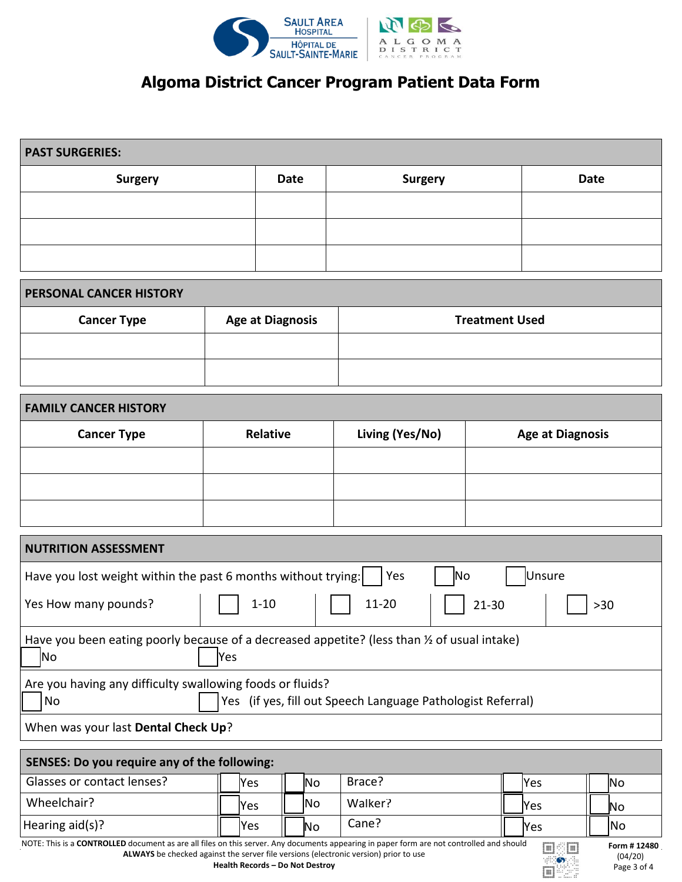

| <b>PAST SURGERIES:</b> |             |                |             |  |  |  |  |  |  |
|------------------------|-------------|----------------|-------------|--|--|--|--|--|--|
| <b>Surgery</b>         | <b>Date</b> | <b>Surgery</b> | <b>Date</b> |  |  |  |  |  |  |
|                        |             |                |             |  |  |  |  |  |  |
|                        |             |                |             |  |  |  |  |  |  |
|                        |             |                |             |  |  |  |  |  |  |

| <b>PERSONAL CANCER HISTORY</b> |                         |                       |  |  |  |  |  |  |  |  |
|--------------------------------|-------------------------|-----------------------|--|--|--|--|--|--|--|--|
| <b>Cancer Type</b>             | <b>Age at Diagnosis</b> | <b>Treatment Used</b> |  |  |  |  |  |  |  |  |
|                                |                         |                       |  |  |  |  |  |  |  |  |
|                                |                         |                       |  |  |  |  |  |  |  |  |

| <b>FAMILY CANCER HISTORY</b> |          |                 |                         |  |  |  |  |  |  |
|------------------------------|----------|-----------------|-------------------------|--|--|--|--|--|--|
| <b>Cancer Type</b>           | Relative | Living (Yes/No) | <b>Age at Diagnosis</b> |  |  |  |  |  |  |
|                              |          |                 |                         |  |  |  |  |  |  |
|                              |          |                 |                         |  |  |  |  |  |  |
|                              |          |                 |                         |  |  |  |  |  |  |

| <b>NUTRITION ASSESSMENT</b>                                                                                                    |     |      |         |  |      |     |  |  |  |  |
|--------------------------------------------------------------------------------------------------------------------------------|-----|------|---------|--|------|-----|--|--|--|--|
| Have you lost weight within the past 6 months without trying:<br>Unsure<br> No<br>Yes                                          |     |      |         |  |      |     |  |  |  |  |
| $11 - 20$<br>Yes How many pounds?<br>$1 - 10$<br>$21 - 30$<br>$>30$                                                            |     |      |         |  |      |     |  |  |  |  |
| Have you been eating poorly because of a decreased appetite? (less than $\frac{1}{2}$ of usual intake)<br><b>No</b><br>Yes     |     |      |         |  |      |     |  |  |  |  |
| Are you having any difficulty swallowing foods or fluids?<br>Yes (if yes, fill out Speech Language Pathologist Referral)<br>No |     |      |         |  |      |     |  |  |  |  |
| When was your last Dental Check Up?                                                                                            |     |      |         |  |      |     |  |  |  |  |
| SENSES: Do you require any of the following:                                                                                   |     |      |         |  |      |     |  |  |  |  |
| Glasses or contact lenses?                                                                                                     | Yes | lNo  | Brace?  |  | Yes  | lNo |  |  |  |  |
| Wheelchair?                                                                                                                    | Yes | INo. | Walker? |  | lYes | Νo  |  |  |  |  |

Hearing aid(s)? ☐ Yes ☐ No Cane? ☐ Yes ☐ No

NOTE: This is a **CONTROLLED** document as are all files on this server. Any documents appearing in paper form are not controlled and should **ALWAYS** be checked against the server file versions (electronic version) prior to use



 $\boxed{m}$ ψË  $\bullet$  $\boxed{m}$ 

**Form # 12480** (04/20) Page 3 of 4